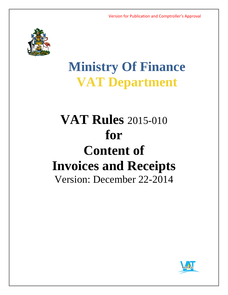

# **Ministry Of Finance VAT Department**

## **VAT Rules** 2015-010 **for Content of Invoices and Receipts** Version: December 22-2014

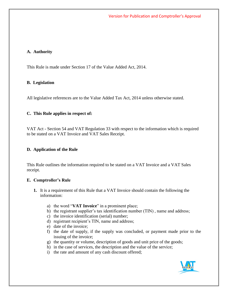#### **A. Authority**

This Rule is made under Section 17 of the Value Added Act, 2014.

#### **B. Legislation**

All legislative references are to the Value Added Tax Act, 2014 unless otherwise stated.

#### **C. This Rule applies in respect of:**

VAT Act - Section 54 and VAT Regulation 33 with respect to the information which is required to be stated on a VAT Invoice and VAT Sales Receipt.

#### **D. Application of the Rule**

This Rule outlines the information required to be stated on a VAT Invoice and a VAT Sales receipt.

#### **E. Comptroller's Rule**

- **1.** It is a requirement of this Rule that a VAT Invoice should contain the following the information:
	- a) the word "**VAT Invoice**" in a prominent place;
	- b) the registrant supplier's tax identification number (TIN) , name and address;
	- c) the invoice identification (serial) number;
	- d) registrant recipient's TIN, name and address;
	- e) date of the invoice;
	- f) the date of supply, if the supply was concluded, or payment made prior to the issuing of the invoice;
	- g) the quantity or volume, description of goods and unit price of the goods;
	- h) in the case of services, the description and the value of the service;
	- i) the rate and amount of any cash discount offered;

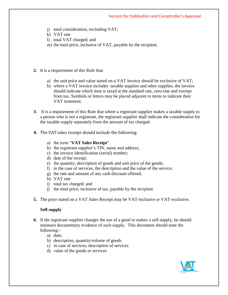- j) total consideration, excluding VAT;
- k) VAT rate
- l) total VAT charged; and
- m) the total price, inclusive of VAT, payable by the recipient.
- **2.** It is a requirement of this Rule that:
	- a) the unit price and value stated on a VAT invoice should be exclusive of VAT;
	- b) where a VAT invoice includes taxable supplies and other supplies, the invoice should indicate which item is taxed at the standard rate, zero-rate and exempt from tax. Symbols or letters may be placed adjacent to items to indicate their VAT treatment.
- **3.** It is a requirement of this Rule that where a registrant supplier makes a taxable supply to a person who is not a registrant, the registrant supplier shall indicate the consideration for the taxable supply separately from the amount of tax charged.
- **4.** The VAT sales receipt should include the following:
	- a) the term "**VAT Sales Receipt**"
	- b) the registrant supplier's TIN, name and address;
	- c) the invoice identification (serial) number;
	- d) date of the receipt;
	- e) the quantity, description of goods and unit price of the goods;
	- f) in the case of services, the description and the value of the service;
	- g) the rate and amount of any cash discount offered;
	- h) VAT rate
	- i) total tax charged; and
	- j) the total price, inclusive of tax, payable by the recipient
- **5.** The price stated on a VAT Sales Receipt may be VAT-inclusive or VAT-exclusive.

## **Self-supply**

- **6.** If the registrant supplier changes the use of a good or makes a self-supply, he should maintain documentary evidence of such supply. This document should state the following:
	- a) date;
	- b) description, quantity/volume of goods
	- c) in case of services, description of services
	- d) value of the goods or services

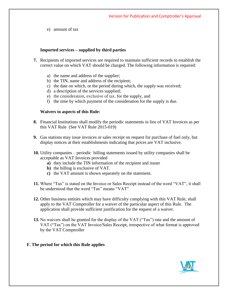e) amount of tax

## **Imported services – supplied by third parties**

- **7.** Recipients of imported services are required to maintain sufficient records to establish the correct value on which VAT should be charged. The following information is required:
	- a) the name and address of the supplier;
	- b) the TIN, name and address of the recipient;
	- c) the date on which, or the period during which, the supply was received;
	- d) a description of the services supplied;
	- e) the consideration, exclusive of tax, for the supply, and
	- f) the time by which payment of the consideration for the supply is due.

#### **Waivers to aspects of this Rule:**

- **8.** Financial Institutions shall modify the periodic statements in lieu of VAT Invoices as per this VAT Rule (See VAT Rule 2015-019)
- **9.** Gas stations may issue invoices or sales receipt on request for purchase of fuel only, but display notices at their establishments indicating that prices are VAT inclusive.
- **10.** Utility companies periodic billing statements issued by utility companies shall be acceptable as VAT Invoices provided
	- **a)** they include the TIN information of the recipient and issuer
	- **b)** the billing is exclusive of VAT.
	- **c)** the VAT amount is shown separately on the statement.
- **11.** Where "Tax" is stated on the Invoice or Sales Receipt instead of the word "VAT", it shall be understood that the word "Tax" means "VAT"
- **12.** Other business entities which may have difficulty complying with this VAT Rule, shall apply to the VAT Comptroller for a waiver of the particular aspect of this Rule. The application shall provide sufficient justification for the request of a waiver.
- **13.** No waivers shall be granted for the display of the VAT ("Tax") rate and the amount of VAT ("Tax") on the VAT Invoice/Sales Receipt, irrespective of what format is approved by the VAT Comptroller

## **F. The period for which this Rule applies**